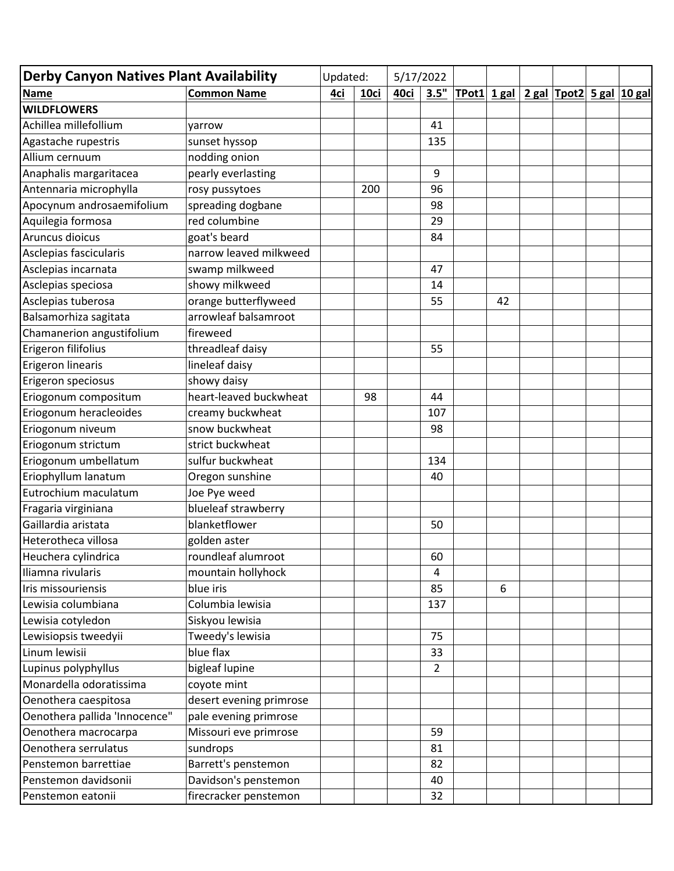| <b>Derby Canyon Natives Plant Availability</b> |                         | Updated: |      | 5/17/2022 |                |                |                                 |  |
|------------------------------------------------|-------------------------|----------|------|-----------|----------------|----------------|---------------------------------|--|
| <b>Name</b>                                    | <b>Common Name</b>      | 4ci      | 10ci | 40ci      | 3.5"           | $T$ Pot1 1 gal | <b>2 gal Tpot2</b> 5 gal 10 gal |  |
| <b>WILDFLOWERS</b>                             |                         |          |      |           |                |                |                                 |  |
| Achillea millefollium                          | yarrow                  |          |      |           | 41             |                |                                 |  |
| Agastache rupestris                            | sunset hyssop           |          |      |           | 135            |                |                                 |  |
| Allium cernuum                                 | nodding onion           |          |      |           |                |                |                                 |  |
| Anaphalis margaritacea                         | pearly everlasting      |          |      |           | 9              |                |                                 |  |
| Antennaria microphylla                         | rosy pussytoes          |          | 200  |           | 96             |                |                                 |  |
| Apocynum androsaemifolium                      | spreading dogbane       |          |      |           | 98             |                |                                 |  |
| Aquilegia formosa                              | red columbine           |          |      |           | 29             |                |                                 |  |
| Aruncus dioicus                                | goat's beard            |          |      |           | 84             |                |                                 |  |
| Asclepias fascicularis                         | narrow leaved milkweed  |          |      |           |                |                |                                 |  |
| Asclepias incarnata                            | swamp milkweed          |          |      |           | 47             |                |                                 |  |
| Asclepias speciosa                             | showy milkweed          |          |      |           | 14             |                |                                 |  |
| Asclepias tuberosa                             | orange butterflyweed    |          |      |           | 55             | 42             |                                 |  |
| Balsamorhiza sagitata                          | arrowleaf balsamroot    |          |      |           |                |                |                                 |  |
| Chamanerion angustifolium                      | fireweed                |          |      |           |                |                |                                 |  |
| Erigeron filifolius                            | threadleaf daisy        |          |      |           | 55             |                |                                 |  |
| Erigeron linearis                              | lineleaf daisy          |          |      |           |                |                |                                 |  |
| Erigeron speciosus                             | showy daisy             |          |      |           |                |                |                                 |  |
| Eriogonum compositum                           | heart-leaved buckwheat  |          | 98   |           | 44             |                |                                 |  |
| Eriogonum heracleoides                         | creamy buckwheat        |          |      |           | 107            |                |                                 |  |
| Eriogonum niveum                               | snow buckwheat          |          |      |           | 98             |                |                                 |  |
| Eriogonum strictum                             | strict buckwheat        |          |      |           |                |                |                                 |  |
| Eriogonum umbellatum                           | sulfur buckwheat        |          |      |           | 134            |                |                                 |  |
| Eriophyllum lanatum                            | Oregon sunshine         |          |      |           | 40             |                |                                 |  |
| Eutrochium maculatum                           | Joe Pye weed            |          |      |           |                |                |                                 |  |
| Fragaria virginiana                            | blueleaf strawberry     |          |      |           |                |                |                                 |  |
| Gaillardia aristata                            | blanketflower           |          |      |           | 50             |                |                                 |  |
| Heterotheca villosa                            | golden aster            |          |      |           |                |                |                                 |  |
| Heuchera cylindrica                            | roundleaf alumroot      |          |      |           | 60             |                |                                 |  |
| Iliamna rivularis                              | mountain hollyhock      |          |      |           | $\overline{4}$ |                |                                 |  |
| Iris missouriensis                             | blue iris               |          |      |           | 85             | 6              |                                 |  |
| Lewisia columbiana                             | Columbia lewisia        |          |      |           | 137            |                |                                 |  |
| Lewisia cotyledon                              | Siskyou lewisia         |          |      |           |                |                |                                 |  |
| Lewisiopsis tweedyii                           | Tweedy's lewisia        |          |      |           | 75             |                |                                 |  |
| Linum lewisii                                  | blue flax               |          |      |           | 33             |                |                                 |  |
| Lupinus polyphyllus                            | bigleaf lupine          |          |      |           | $\overline{2}$ |                |                                 |  |
| Monardella odoratissima                        | coyote mint             |          |      |           |                |                |                                 |  |
| Oenothera caespitosa                           | desert evening primrose |          |      |           |                |                |                                 |  |
| Oenothera pallida 'Innocence"                  | pale evening primrose   |          |      |           |                |                |                                 |  |
| Oenothera macrocarpa                           | Missouri eve primrose   |          |      |           | 59             |                |                                 |  |
| Oenothera serrulatus                           | sundrops                |          |      |           | 81             |                |                                 |  |
| Penstemon barrettiae                           | Barrett's penstemon     |          |      |           | 82             |                |                                 |  |
| Penstemon davidsonii                           | Davidson's penstemon    |          |      |           | 40             |                |                                 |  |
| Penstemon eatonii                              | firecracker penstemon   |          |      |           | 32             |                |                                 |  |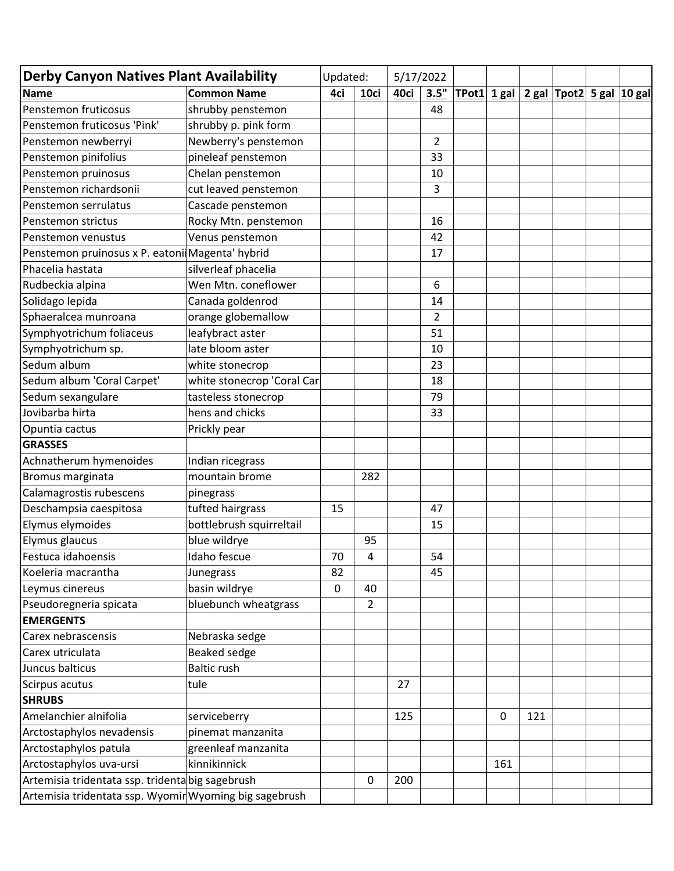| <b>Derby Canyon Natives Plant Availability</b>         |                            | Updated: | 5/17/2022      |      |                |             |     |                                      |  |
|--------------------------------------------------------|----------------------------|----------|----------------|------|----------------|-------------|-----|--------------------------------------|--|
| <b>Name</b>                                            | <b>Common Name</b>         | 4ci      | 10ci           | 40ci | 3.5"           |             |     | TPot1 1 gal 2 gal Tpot2 5 gal 10 gal |  |
| Penstemon fruticosus                                   | shrubby penstemon          |          |                |      | 48             |             |     |                                      |  |
| Penstemon fruticosus 'Pink'                            | shrubby p. pink form       |          |                |      |                |             |     |                                      |  |
| Penstemon newberryi                                    | Newberry's penstemon       |          |                |      | $\overline{2}$ |             |     |                                      |  |
| Penstemon pinifolius                                   | pineleaf penstemon         |          |                |      | 33             |             |     |                                      |  |
| Penstemon pruinosus                                    | Chelan penstemon           |          |                |      | 10             |             |     |                                      |  |
| Penstemon richardsonii                                 | cut leaved penstemon       |          |                |      | 3              |             |     |                                      |  |
| Penstemon serrulatus                                   | Cascade penstemon          |          |                |      |                |             |     |                                      |  |
| Penstemon strictus                                     | Rocky Mtn. penstemon       |          |                |      | 16             |             |     |                                      |  |
| Penstemon venustus                                     | Venus penstemon            |          |                |      | 42             |             |     |                                      |  |
| Penstemon pruinosus x P. eatoni Magenta' hybrid        |                            |          |                |      | 17             |             |     |                                      |  |
| Phacelia hastata                                       | silverleaf phacelia        |          |                |      |                |             |     |                                      |  |
| Rudbeckia alpina                                       | Wen Mtn. coneflower        |          |                |      | 6              |             |     |                                      |  |
| Solidago lepida                                        | Canada goldenrod           |          |                |      | 14             |             |     |                                      |  |
| Sphaeralcea munroana                                   | orange globemallow         |          |                |      | $\overline{2}$ |             |     |                                      |  |
| Symphyotrichum foliaceus                               | leafybract aster           |          |                |      | 51             |             |     |                                      |  |
| Symphyotrichum sp.                                     | late bloom aster           |          |                |      | 10             |             |     |                                      |  |
| Sedum album                                            | white stonecrop            |          |                |      | 23             |             |     |                                      |  |
| Sedum album 'Coral Carpet'                             | white stonecrop 'Coral Car |          |                |      | 18             |             |     |                                      |  |
| Sedum sexangulare                                      | tasteless stonecrop        |          |                |      | 79             |             |     |                                      |  |
| Jovibarba hirta                                        | hens and chicks            |          |                |      | 33             |             |     |                                      |  |
| Opuntia cactus                                         | Prickly pear               |          |                |      |                |             |     |                                      |  |
| <b>GRASSES</b>                                         |                            |          |                |      |                |             |     |                                      |  |
| Achnatherum hymenoides                                 | Indian ricegrass           |          |                |      |                |             |     |                                      |  |
| Bromus marginata                                       | mountain brome             |          | 282            |      |                |             |     |                                      |  |
| Calamagrostis rubescens                                | pinegrass                  |          |                |      |                |             |     |                                      |  |
| Deschampsia caespitosa                                 | tufted hairgrass           | 15       |                |      | 47             |             |     |                                      |  |
| Elymus elymoides                                       | bottlebrush squirreltail   |          |                |      | 15             |             |     |                                      |  |
| Elymus glaucus                                         | blue wildrye               |          | 95             |      |                |             |     |                                      |  |
| Festuca idahoensis                                     | Idaho fescue               | 70       | 4              |      | 54             |             |     |                                      |  |
| Koeleria macrantha                                     | Junegrass                  | 82       |                |      | 45             |             |     |                                      |  |
| Leymus cinereus                                        | basin wildrye              | 0        | 40             |      |                |             |     |                                      |  |
| Pseudoregneria spicata                                 | bluebunch wheatgrass       |          | $\overline{2}$ |      |                |             |     |                                      |  |
| <b>EMERGENTS</b>                                       |                            |          |                |      |                |             |     |                                      |  |
| Carex nebrascensis                                     | Nebraska sedge             |          |                |      |                |             |     |                                      |  |
| Carex utriculata                                       | Beaked sedge               |          |                |      |                |             |     |                                      |  |
| Juncus balticus                                        | <b>Baltic rush</b>         |          |                |      |                |             |     |                                      |  |
| Scirpus acutus                                         | tule                       |          |                | 27   |                |             |     |                                      |  |
| <b>SHRUBS</b>                                          |                            |          |                |      |                |             |     |                                      |  |
| Amelanchier alnifolia                                  | serviceberry               |          |                | 125  |                | $\mathbf 0$ | 121 |                                      |  |
| Arctostaphylos nevadensis                              | pinemat manzanita          |          |                |      |                |             |     |                                      |  |
| Arctostaphylos patula                                  | greenleaf manzanita        |          |                |      |                |             |     |                                      |  |
| Arctostaphylos uva-ursi                                | kinnikinnick               |          |                |      |                | 161         |     |                                      |  |
| Artemisia tridentata ssp. tridenta big sagebrush       |                            |          | 0              | 200  |                |             |     |                                      |  |
| Artemisia tridentata ssp. Wyomir Wyoming big sagebrush |                            |          |                |      |                |             |     |                                      |  |
|                                                        |                            |          |                |      |                |             |     |                                      |  |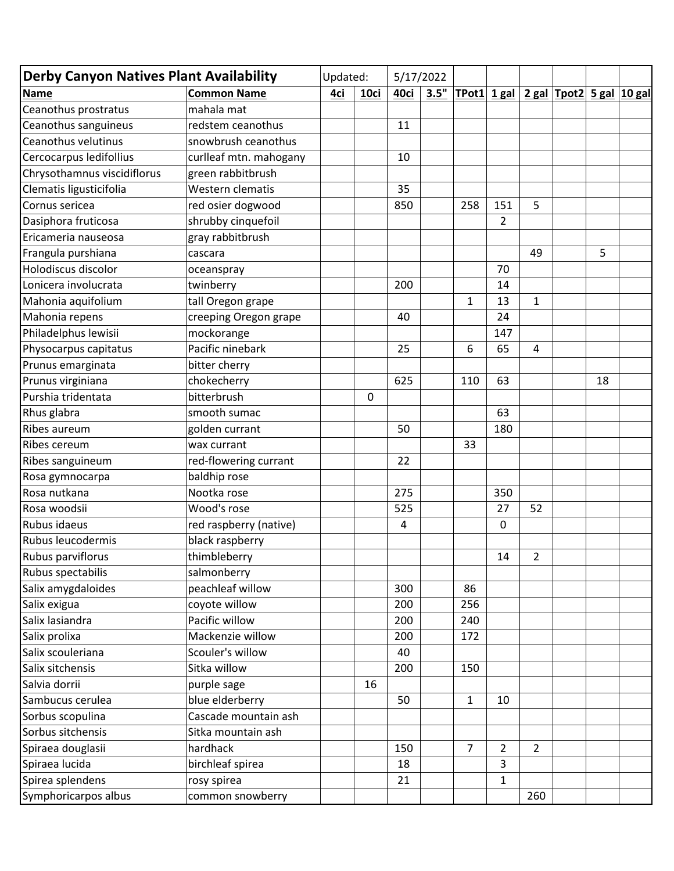| <b>Derby Canyon Natives Plant Availability</b> |                        | Updated: |      | 5/17/2022 |      |                |                |                |               |    |                     |
|------------------------------------------------|------------------------|----------|------|-----------|------|----------------|----------------|----------------|---------------|----|---------------------|
| <b>Name</b>                                    | <b>Common Name</b>     | 4ci      | 10ci | 40ci      | 3.5" | $T$ Pot $1$    | $1$ gal        |                | $2$ gal Tpot2 |    | <b>5 gal 10 gal</b> |
| Ceanothus prostratus                           | mahala mat             |          |      |           |      |                |                |                |               |    |                     |
| Ceanothus sanguineus                           | redstem ceanothus      |          |      | 11        |      |                |                |                |               |    |                     |
| Ceanothus velutinus                            | snowbrush ceanothus    |          |      |           |      |                |                |                |               |    |                     |
| Cercocarpus ledifollius                        | curlleaf mtn. mahogany |          |      | 10        |      |                |                |                |               |    |                     |
| Chrysothamnus viscidiflorus                    | green rabbitbrush      |          |      |           |      |                |                |                |               |    |                     |
| Clematis ligusticifolia                        | Western clematis       |          |      | 35        |      |                |                |                |               |    |                     |
| Cornus sericea                                 | red osier dogwood      |          |      | 850       |      | 258            | 151            | 5              |               |    |                     |
| Dasiphora fruticosa                            | shrubby cinquefoil     |          |      |           |      |                | $\overline{2}$ |                |               |    |                     |
| Ericameria nauseosa                            | gray rabbitbrush       |          |      |           |      |                |                |                |               |    |                     |
| Frangula purshiana                             | cascara                |          |      |           |      |                |                | 49             |               | 5  |                     |
| Holodiscus discolor                            | oceanspray             |          |      |           |      |                | 70             |                |               |    |                     |
| Lonicera involucrata                           | twinberry              |          |      | 200       |      |                | 14             |                |               |    |                     |
| Mahonia aquifolium                             | tall Oregon grape      |          |      |           |      | $\mathbf{1}$   | 13             | $\mathbf{1}$   |               |    |                     |
| Mahonia repens                                 | creeping Oregon grape  |          |      | 40        |      |                | 24             |                |               |    |                     |
| Philadelphus lewisii                           | mockorange             |          |      |           |      |                | 147            |                |               |    |                     |
| Physocarpus capitatus                          | Pacific ninebark       |          |      | 25        |      | 6              | 65             | 4              |               |    |                     |
| Prunus emarginata                              | bitter cherry          |          |      |           |      |                |                |                |               |    |                     |
| Prunus virginiana                              | chokecherry            |          |      | 625       |      | 110            | 63             |                |               | 18 |                     |
| Purshia tridentata                             | bitterbrush            |          | 0    |           |      |                |                |                |               |    |                     |
| Rhus glabra                                    | smooth sumac           |          |      |           |      |                | 63             |                |               |    |                     |
| Ribes aureum                                   | golden currant         |          |      | 50        |      |                | 180            |                |               |    |                     |
| Ribes cereum                                   | wax currant            |          |      |           |      | 33             |                |                |               |    |                     |
| Ribes sanguineum                               | red-flowering currant  |          |      | 22        |      |                |                |                |               |    |                     |
| Rosa gymnocarpa                                | baldhip rose           |          |      |           |      |                |                |                |               |    |                     |
| Rosa nutkana                                   | Nootka rose            |          |      | 275       |      |                | 350            |                |               |    |                     |
| Rosa woodsii                                   | Wood's rose            |          |      | 525       |      |                | 27             | 52             |               |    |                     |
| Rubus idaeus                                   | red raspberry (native) |          |      | 4         |      |                | 0              |                |               |    |                     |
| Rubus leucodermis                              | black raspberry        |          |      |           |      |                |                |                |               |    |                     |
| Rubus parviflorus                              | thimbleberry           |          |      |           |      |                | 14             | 2              |               |    |                     |
| Rubus spectabilis                              | salmonberry            |          |      |           |      |                |                |                |               |    |                     |
| Salix amygdaloides                             | peachleaf willow       |          |      | 300       |      | 86             |                |                |               |    |                     |
| Salix exigua                                   | coyote willow          |          |      | 200       |      | 256            |                |                |               |    |                     |
| Salix lasiandra                                | Pacific willow         |          |      | 200       |      | 240            |                |                |               |    |                     |
| Salix prolixa                                  | Mackenzie willow       |          |      | 200       |      | 172            |                |                |               |    |                     |
| Salix scouleriana                              | Scouler's willow       |          |      | 40        |      |                |                |                |               |    |                     |
| Salix sitchensis                               | Sitka willow           |          |      | 200       |      | 150            |                |                |               |    |                     |
| Salvia dorrii                                  | purple sage            |          | 16   |           |      |                |                |                |               |    |                     |
| Sambucus cerulea                               | blue elderberry        |          |      | 50        |      | $\mathbf{1}$   | 10             |                |               |    |                     |
| Sorbus scopulina                               | Cascade mountain ash   |          |      |           |      |                |                |                |               |    |                     |
| Sorbus sitchensis                              | Sitka mountain ash     |          |      |           |      |                |                |                |               |    |                     |
| Spiraea douglasii                              | hardhack               |          |      | 150       |      | $\overline{7}$ | $\overline{2}$ | $\overline{2}$ |               |    |                     |
| Spiraea lucida                                 | birchleaf spirea       |          |      | 18        |      |                | 3              |                |               |    |                     |
| Spirea splendens                               | rosy spirea            |          |      | 21        |      |                | $\mathbf{1}$   |                |               |    |                     |
| Symphoricarpos albus                           | common snowberry       |          |      |           |      |                |                | 260            |               |    |                     |